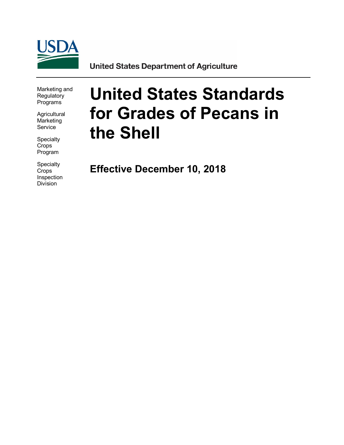

**United States Department of Agriculture** 

Marketing and **Regulatory** Programs

**Agricultural Marketing** Service

Specialty **Crops** Program

**Specialty** Crops Inspection Division

# **United States Standards for Grades of Pecans in the Shell**

**Effective December 10, 2018**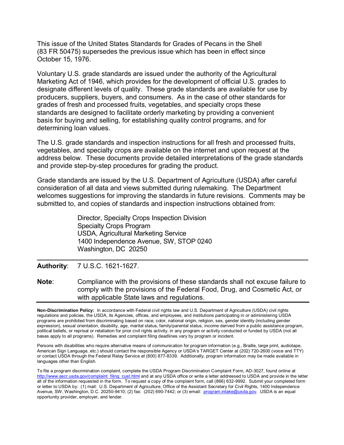This issue of the United States Standards for Grades of Pecans in the Shell (83 FR 50475) supersedes the previous issue which has been in effect since October 15, 1976.

Voluntary U.S. grade standards are issued under the authority of the Agricultural Marketing Act of 1946, which provides for the development of official U.S. grades to designate different levels of quality. These grade standards are available for use by producers, suppliers, buyers, and consumers. As in the case of other standards for grades of fresh and processed fruits, vegetables, and specialty crops these standards are designed to facilitate orderly marketing by providing a convenient basis for buying and selling, for establishing quality control programs, and for determining loan values.

The U.S. grade standards and inspection instructions for all fresh and processed fruits, vegetables, and specialty crops are available on the internet and upon request at the address below. These documents provide detailed interpretations of the grade standards and provide step-by-step procedures for grading the product.

Grade standards are issued by the U.S. Department of Agriculture (USDA) after careful consideration of all data and views submitted during rulemaking. The Department welcomes suggestions for improving the standards in future revisions. Comments may be submitted to, and copies of standards and inspection instructions obtained from:

> Director, Specialty Crops Inspection Division Specialty Crops Program USDA, Agricultural Marketing Service 1400 Independence Avenue, SW, STOP 0240 Washington, DC 20250

**Authority**: 7 U.S.C. 1621-1627.

**Note**: Compliance with the provisions of these standards shall not excuse failure to comply with the provisions of the Federal Food, Drug, and Cosmetic Act, or with applicable State laws and regulations.

**\_\_\_\_\_\_\_\_\_\_\_\_\_\_\_\_\_\_\_\_\_\_\_\_\_\_\_\_\_\_\_\_\_\_\_\_\_\_\_\_\_\_\_\_\_\_\_\_\_\_\_\_\_\_\_\_\_\_\_\_\_\_\_\_\_\_\_\_\_\_\_\_\_\_**

**Non-Discrimination Policy:** In accordance with Federal civil rights law and U.S. Department of Agriculture (USDA) civil rights regulations and policies, the USDA, its Agencies, offices, and employees, and institutions participating in or administering USDA programs are prohibited from discriminating based on race, color, national origin, religion, sex, gender identity (including gender expression), sexual orientation, disability, age, marital status, family/parental status, income derived from a public assistance program, political beliefs, or reprisal or retaliation for prior civil rights activity, in any program or activity conducted or funded by USDA (not all bases apply to all programs). Remedies and complaint filing deadlines vary by program or incident.

Persons with disabilities who require alternative means of communication for program information (e.g., Braille, large print, audiotape, American Sign Language, etc.) should contact the responsible Agency or USDA's TARGET Center at (202) 720-2600 (voice and TTY) or contact USDA through the Federal Relay Service at (800) 877-8339. Additionally, program information may be made available in languages other than English.

To file a program discrimination complaint, complete the USDA Program Discrimination Complaint Form, AD-3027, found online at [http://www.ascr.usda.gov/complaint\\_filing\\_cust.html](http://www.ascr.usda.gov/complaint_filing_cust.html) and at any USDA office or write a letter addressed to USDA and provide in the letter all of the information requested in the form. To request a copy of the complaint form, call (866) 632-9992. Submit your completed form or letter to USDA by: (1) mail: U.S. Department of Agriculture, Office of the Assistant Secretary for Civil Rights, 1400 Independence Avenue, SW, Washington, D.C. 20250-9410; (2) fax: (202) 690-7442; or (3) email: [program.intake@usda.gov.](mailto:program.intake@usda.gov) USDA is an equal opportunity provider, employer, and lender.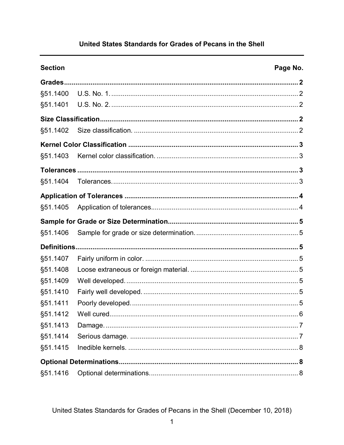# United States Standards for Grades of Pecans in the Shell

| <b>Section</b> |            | Page No. |
|----------------|------------|----------|
|                |            |          |
| §51.1400       |            |          |
| §51.1401       |            |          |
|                |            |          |
| §51.1402       |            |          |
|                |            |          |
| §51.1403       |            |          |
|                |            |          |
| §51.1404       |            |          |
|                |            |          |
| §51.1405       |            |          |
|                |            |          |
| §51.1406       |            |          |
|                |            |          |
| §51.1407       |            |          |
| §51.1408       |            |          |
| §51.1409       |            |          |
| §51.1410       |            |          |
| §51.1411       |            |          |
| §51.1412       | Well cured | . 6      |
| §51.1413       |            |          |
| §51.1414       |            |          |
| §51.1415       |            |          |
|                |            |          |
| §51.1416       |            |          |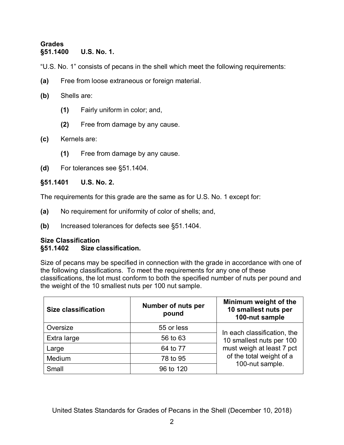## <span id="page-3-1"></span><span id="page-3-0"></span>**Grades §51.1400 U.S. No. 1.**

"U.S. No. 1" consists of pecans in the shell which meet the following requirements:

- **(a)** Free from loose extraneous or foreign material.
- **(b)** Shells are:
	- **(1)** Fairly uniform in color; and,
	- **(2)** Free from damage by any cause.
- **(c)** Kernels are:
	- **(1)** Free from damage by any cause.
- **(d)** For tolerances see §51.1404.

## <span id="page-3-2"></span>**§51.1401 U.S. No. 2.**

The requirements for this grade are the same as for U.S. No. 1 except for:

- **(a)** No requirement for uniformity of color of shells; and,
- **(b)** Increased tolerances for defects see §51.1404.

## <span id="page-3-4"></span><span id="page-3-3"></span>**Size Classification §51.1402 Size classification.**

Size of pecans may be specified in connection with the grade in accordance with one of the following classifications. To meet the requirements for any one of these classifications, the lot must conform to both the specified number of nuts per pound and the weight of the 10 smallest nuts per 100 nut sample.

| <b>Size classification</b> | <b>Number of nuts per</b><br>pound | Minimum weight of the<br>10 smallest nuts per<br>100-nut sample          |  |
|----------------------------|------------------------------------|--------------------------------------------------------------------------|--|
| Oversize                   | 55 or less                         | In each classification, the                                              |  |
| Extra large                | 56 to 63                           | 10 smallest nuts per 100                                                 |  |
| Large                      | 64 to 77                           | must weigh at least 7 pct<br>of the total weight of a<br>100-nut sample. |  |
| Medium                     | 78 to 95                           |                                                                          |  |
| Small                      | 96 to 120                          |                                                                          |  |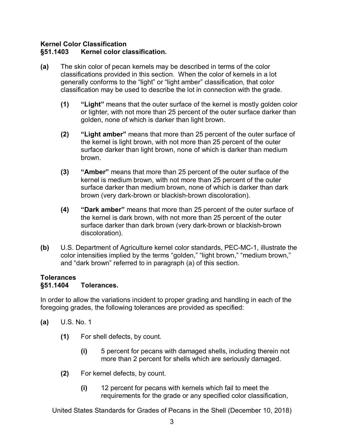## <span id="page-4-1"></span><span id="page-4-0"></span>**Kernel Color Classification §51.1403 Kernel color classification.**

- **(a)** The skin color of pecan kernels may be described in terms of the color classifications provided in this section. When the color of kernels in a lot generally conforms to the "light" or "light amber" classification, that color classification may be used to describe the lot in connection with the grade.
	- **(1) "Light"** means that the outer surface of the kernel is mostly golden color or lighter, with not more than 25 percent of the outer surface darker than golden, none of which is darker than light brown.
	- **(2) "Light amber"** means that more than 25 percent of the outer surface of the kernel is light brown, with not more than 25 percent of the outer surface darker than light brown, none of which is darker than medium brown.
	- **(3) "Amber"** means that more than 25 percent of the outer surface of the kernel is medium brown, with not more than 25 percent of the outer surface darker than medium brown, none of which is darker than dark brown (very dark-brown or blackish-brown discoloration).
	- **(4) "Dark amber"** means that more than 25 percent of the outer surface of the kernel is dark brown, with not more than 25 percent of the outer surface darker than dark brown (very dark-brown or blackish-brown discoloration).
- **(b)** U.S. Department of Agriculture kernel color standards, PEC-MC-1, illustrate the color intensities implied by the terms "golden," "light brown," "medium brown," and "dark brown" referred to in paragraph (a) of this section.

## <span id="page-4-3"></span><span id="page-4-2"></span>**Tolerances §51.1404 Tolerances.**

In order to allow the variations incident to proper grading and handling in each of the foregoing grades, the following tolerances are provided as specified:

- **(a)** U.S. No. 1
	- **(1)** For shell defects, by count.
		- **(i)** 5 percent for pecans with damaged shells, including therein not more than 2 percent for shells which are seriously damaged.
	- **(2)** For kernel defects, by count.
		- **(i)** 12 percent for pecans with kernels which fail to meet the requirements for the grade or any specified color classification,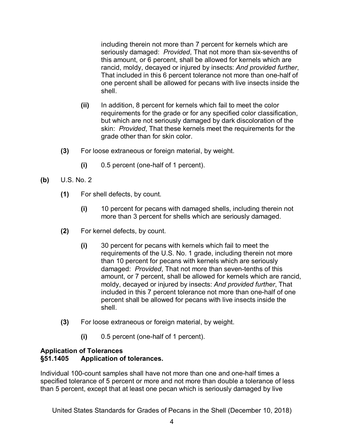including therein not more than 7 percent for kernels which are seriously damaged: *Provided*, That not more than six-sevenths of this amount, or 6 percent, shall be allowed for kernels which are rancid, moldy, decayed or injured by insects: *And provided further*, That included in this 6 percent tolerance not more than one-half of one percent shall be allowed for pecans with live insects inside the shell.

- **(ii)** In addition, 8 percent for kernels which fail to meet the color requirements for the grade or for any specified color classification, but which are not seriously damaged by dark discoloration of the skin: *Provided*, That these kernels meet the requirements for the grade other than for skin color.
- **(3)** For loose extraneous or foreign material, by weight.
	- **(i)** 0.5 percent (one-half of 1 percent).
- **(b)** U.S. No. 2
	- **(1)** For shell defects, by count.
		- **(i)** 10 percent for pecans with damaged shells, including therein not more than 3 percent for shells which are seriously damaged.
	- **(2)** For kernel defects, by count.
		- **(i)** 30 percent for pecans with kernels which fail to meet the requirements of the U.S. No. 1 grade, including therein not more than 10 percent for pecans with kernels which are seriously damaged: *Provided*, That not more than seven-tenths of this amount, or 7 percent, shall be allowed for kernels which are rancid, moldy, decayed or injured by insects: *And provided further*, That included in this 7 percent tolerance not more than one-half of one percent shall be allowed for pecans with live insects inside the shell.
	- **(3)** For loose extraneous or foreign material, by weight.
		- **(i)** 0.5 percent (one-half of 1 percent).

## <span id="page-5-1"></span><span id="page-5-0"></span>**Application of Tolerances §51.1405 Application of tolerances.**

Individual 100-count samples shall have not more than one and one-half times a specified tolerance of 5 percent or more and not more than double a tolerance of less than 5 percent, except that at least one pecan which is seriously damaged by live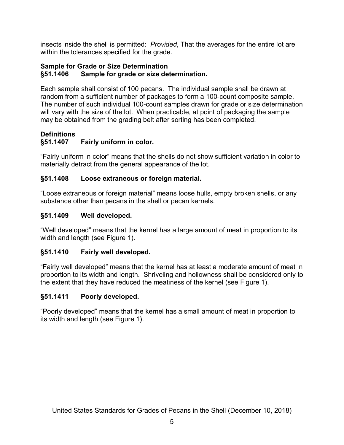insects inside the shell is permitted: *Provided*, That the averages for the entire lot are within the tolerances specified for the grade.

## <span id="page-6-1"></span><span id="page-6-0"></span>**Sample for Grade or Size Determination §51.1406 Sample for grade or size determination.**

Each sample shall consist of 100 pecans. The individual sample shall be drawn at random from a sufficient number of packages to form a 100-count composite sample. The number of such individual 100-count samples drawn for grade or size determination will vary with the size of the lot. When practicable, at point of packaging the sample may be obtained from the grading belt after sorting has been completed.

#### <span id="page-6-3"></span><span id="page-6-2"></span>**Definitions §51.1407 Fairly uniform in color.**

"Fairly uniform in color" means that the shells do not show sufficient variation in color to materially detract from the general appearance of the lot.

# <span id="page-6-4"></span>**§51.1408 Loose extraneous or foreign material.**

"Loose extraneous or foreign material" means loose hulls, empty broken shells, or any substance other than pecans in the shell or pecan kernels.

# <span id="page-6-5"></span>**§51.1409 Well developed.**

"Well developed" means that the kernel has a large amount of meat in proportion to its width and length (see Figure 1).

## <span id="page-6-6"></span>**§51.1410 Fairly well developed.**

"Fairly well developed" means that the kernel has at least a moderate amount of meat in proportion to its width and length. Shriveling and hollowness shall be considered only to the extent that they have reduced the meatiness of the kernel (see Figure 1).

# <span id="page-6-7"></span>**§51.1411 Poorly developed.**

"Poorly developed" means that the kernel has a small amount of meat in proportion to its width and length (see Figure 1).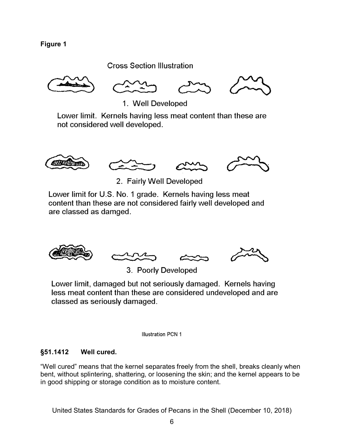**Figure 1**

**Cross Section Illustration** 



1. Well Developed

Lower limit. Kernels having less meat content than these are not considered well developed.





2. Fairly Well Developed

Lower limit for U.S. No. 1 grade. Kernels having less meat content than these are not considered fairly well developed and are classed as damged.



3. Poorly Developed

Lower limit, damaged but not seriously damaged. Kernels having less meat content than these are considered undeveloped and are classed as seriously damaged.

**Illustration PCN 1** 

## <span id="page-7-0"></span>**§51.1412 Well cured.**

"Well cured" means that the kernel separates freely from the shell, breaks cleanly when bent, without splintering, shattering, or loosening the skin; and the kernel appears to be in good shipping or storage condition as to moisture content.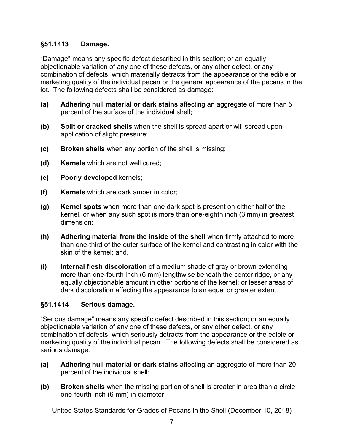# <span id="page-8-0"></span>**§51.1413 Damage.**

"Damage" means any specific defect described in this section; or an equally objectionable variation of any one of these defects, or any other defect, or any combination of defects, which materially detracts from the appearance or the edible or marketing quality of the individual pecan or the general appearance of the pecans in the lot. The following defects shall be considered as damage:

- **(a) Adhering hull material or dark stains** affecting an aggregate of more than 5 percent of the surface of the individual shell;
- **(b) Split or cracked shells** when the shell is spread apart or will spread upon application of slight pressure;
- **(c) Broken shells** when any portion of the shell is missing;
- **(d) Kernels** which are not well cured;
- **(e) Poorly developed** kernels;
- **(f) Kernels** which are dark amber in color;
- **(g) Kernel spots** when more than one dark spot is present on either half of the kernel, or when any such spot is more than one-eighth inch (3 mm) in greatest dimension;
- **(h) Adhering material from the inside of the shell** when firmly attached to more than one-third of the outer surface of the kernel and contrasting in color with the skin of the kernel; and,
- **(i) Internal flesh discoloration** of a medium shade of gray or brown extending more than one-fourth inch (6 mm) lengthwise beneath the center ridge, or any equally objectionable amount in other portions of the kernel; or lesser areas of dark discoloration affecting the appearance to an equal or greater extent.

## <span id="page-8-1"></span>**§51.1414 Serious damage.**

"Serious damage" means any specific defect described in this section; or an equally objectionable variation of any one of these defects, or any other defect, or any combination of defects, which seriously detracts from the appearance or the edible or marketing quality of the individual pecan. The following defects shall be considered as serious damage:

- **(a) Adhering hull material or dark stains** affecting an aggregate of more than 20 percent of the individual shell;
- **(b) Broken shells** when the missing portion of shell is greater in area than a circle one-fourth inch (6 mm) in diameter;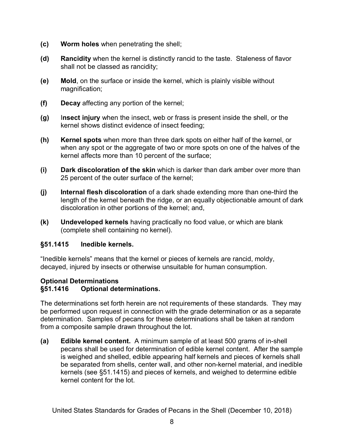- **(c) Worm holes** when penetrating the shell;
- **(d) Rancidity** when the kernel is distinctly rancid to the taste. Staleness of flavor shall not be classed as rancidity;
- **(e) Mold**, on the surface or inside the kernel, which is plainly visible without magnification;
- **(f) Decay** affecting any portion of the kernel;
- **(g)** I**nsect injury** when the insect, web or frass is present inside the shell, or the kernel shows distinct evidence of insect feeding;
- **(h) Kernel spots** when more than three dark spots on either half of the kernel, or when any spot or the aggregate of two or more spots on one of the halves of the kernel affects more than 10 percent of the surface;
- **(i) Dark discoloration of the skin** which is darker than dark amber over more than 25 percent of the outer surface of the kernel;
- **(j) Internal flesh discoloration** of a dark shade extending more than one-third the length of the kernel beneath the ridge, or an equally objectionable amount of dark discoloration in other portions of the kernel; and,
- **(k) Undeveloped kernels** having practically no food value, or which are blank (complete shell containing no kernel).

## <span id="page-9-0"></span>**§51.1415 Inedible kernels.**

"Inedible kernels" means that the kernel or pieces of kernels are rancid, moldy, decayed, injured by insects or otherwise unsuitable for human consumption.

## <span id="page-9-1"></span>**Optional Determinations**

## <span id="page-9-2"></span>**§51.1416 Optional determinations.**

The determinations set forth herein are not requirements of these standards. They may be performed upon request in connection with the grade determination or as a separate determination. Samples of pecans for these determinations shall be taken at random from a composite sample drawn throughout the lot.

**(a) Edible kernel content.** A minimum sample of at least 500 grams of in-shell pecans shall be used for determination of edible kernel content. After the sample is weighed and shelled, edible appearing half kernels and pieces of kernels shall be separated from shells, center wall, and other non-kernel material, and inedible kernels (see §51.1415) and pieces of kernels, and weighed to determine edible kernel content for the lot.